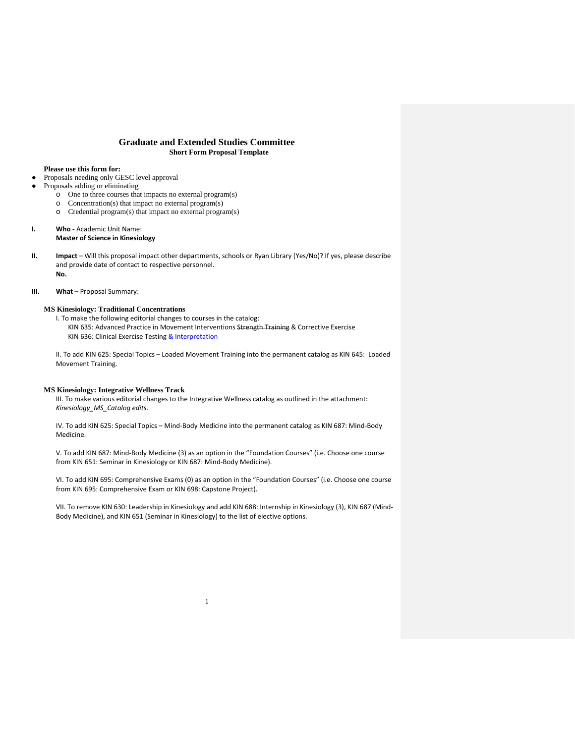### **Graduate and Extended Studies Committee Short Form Proposal Template**

### **Please use this form for:**

- Proposals needing only GESC level approval
- Proposals adding or eliminating
	- o One to three courses that impacts no external program(s)
	- o Concentration(s) that impact no external program(s)
	- o Credential program(s) that impact no external program(s)

#### **I. Who -** Academic Unit Name: **Master of Science in Kinesiology**

**II. Impact** – Will this proposal impact other departments, schools or Ryan Library (Yes/No)? If yes, please describe and provide date of contact to respective personnel. **No.**

#### **III.** What – Proposal Summary:

### **MS Kinesiology: Traditional Concentrations**

I. To make the following editorial changes to courses in the catalog: KIN 635: Advanced Practice in Movement Interventions Strength Training & Corrective Exercise KIN 636: Clinical Exercise Testing & Interpretation

II. To add KIN 625: Special Topics – Loaded Movement Training into the permanent catalog as KIN 645: Loaded Movement Training.

#### **MS Kinesiology: Integrative Wellness Track**

III. To make various editorial changes to the Integrative Wellness catalog as outlined in the attachment: *Kinesiology\_MS\_Catalog edits.*

IV. To add KIN 625: Special Topics – Mind-Body Medicine into the permanent catalog as KIN 687: Mind-Body Medicine.

V. To add KIN 687: Mind-Body Medicine (3) as an option in the "Foundation Courses" (i.e. Choose one course from KIN 651: Seminar in Kinesiology or KIN 687: Mind-Body Medicine).

VI. To add KIN 695: Comprehensive Exams (0) as an option in the "Foundation Courses" (i.e. Choose one course from KIN 695: Comprehensive Exam or KIN 698: Capstone Project).

VII. To remove KIN 630: Leadership in Kinesiology and add KIN 688: Internship in Kinesiology (3), KIN 687 (Mind-Body Medicine), and KIN 651 (Seminar in Kinesiology) to the list of elective options.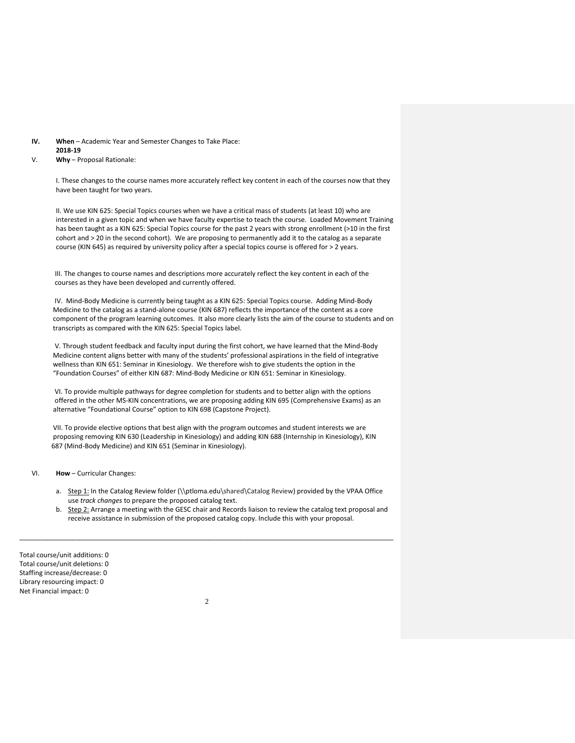#### **IV. When** – Academic Year and Semester Changes to Take Place: **2018-19**

#### V. **Why** – Proposal Rationale:

I. These changes to the course names more accurately reflect key content in each of the courses now that they have been taught for two years.

II. We use KIN 625: Special Topics courses when we have a critical mass of students (at least 10) who are interested in a given topic and when we have faculty expertise to teach the course. Loaded Movement Training has been taught as a KIN 625: Special Topics course for the past 2 years with strong enrollment (>10 in the first cohort and > 20 in the second cohort). We are proposing to permanently add it to the catalog as a separate course (KIN 645) as required by university policy after a special topics course is offered for > 2 years.

 III. The changes to course names and descriptions more accurately reflect the key content in each of the courses as they have been developed and currently offered.

 IV. Mind-Body Medicine is currently being taught as a KIN 625: Special Topics course. Adding Mind-Body Medicine to the catalog as a stand-alone course (KIN 687) reflects the importance of the content as a core component of the program learning outcomes. It also more clearly lists the aim of the course to students and on transcripts as compared with the KIN 625: Special Topics label.

 V. Through student feedback and faculty input during the first cohort, we have learned that the Mind-Body Medicine content aligns better with many of the students' professional aspirations in the field of integrative wellness than KIN 651: Seminar in Kinesiology. We therefore wish to give students the option in the "Foundation Courses" of either KIN 687: Mind-Body Medicine or KIN 651: Seminar in Kinesiology.

 VI. To provide multiple pathways for degree completion for students and to better align with the options offered in the other MS-KIN concentrations, we are proposing adding KIN 695 (Comprehensive Exams) as an alternative "Foundational Course" option to KIN 698 (Capstone Project).

 VII. To provide elective options that best align with the program outcomes and student interests we are proposing removing KIN 630 (Leadership in Kinesiology) and adding KIN 688 (Internship in Kinesiology), KIN 687 (Mind-Body Medicine) and KIN 651 (Seminar in Kinesiology).

VI. **How** – Curricular Changes:

- a. Step 1: In the Catalog Review folder (\\ptloma.edu\shared\Catalog Review) provided by the VPAA Office use *track changes* to prepare the proposed catalog text.
- b. Step 2: Arrange a meeting with the GESC chair and Records liaison to review the catalog text proposal and receive assistance in submission of the proposed catalog copy. Include this with your proposal.

Total course/unit additions: 0 Total course/unit deletions: 0 Staffing increase/decrease: 0 Library resourcing impact: 0 Net Financial impact: 0

\_\_\_\_\_\_\_\_\_\_\_\_\_\_\_\_\_\_\_\_\_\_\_\_\_\_\_\_\_\_\_\_\_\_\_\_\_\_\_\_\_\_\_\_\_\_\_\_\_\_\_\_\_\_\_\_\_\_\_\_\_\_\_\_\_\_\_\_\_\_\_\_\_\_\_\_\_\_\_\_\_\_\_\_\_\_\_\_\_\_\_\_\_\_\_\_\_\_\_\_\_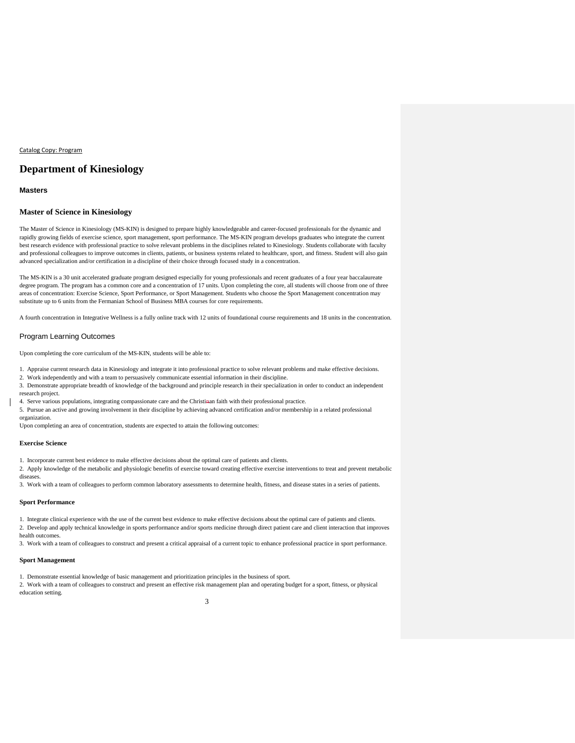#### Catalog Copy: Program

### **Department of Kinesiology**

### **Masters**

#### **Master of Science in Kinesiology**

The Master of Science in Kinesiology (MS-KIN) is designed to prepare highly knowledgeable and career-focused professionals for the dynamic and rapidly growing fields of exercise science, sport management, sport performance. The MS-KIN program develops graduates who integrate the current best research evidence with professional practice to solve relevant problems in the disciplines related to Kinesiology. Students collaborate with faculty and professional colleagues to improve outcomes in clients, patients, or business systems related to healthcare, sport, and fitness. Student will also gain advanced specialization and/or certification in a discipline of their choice through focused study in a concentration.

The MS-KIN is a 30 unit accelerated graduate program designed especially for young professionals and recent graduates of a four year baccalaureate degree program. The program has a common core and a concentration of 17 units. Upon completing the core, all students will choose from one of three areas of concentration: Exercise Science, Sport Performance, or Sport Management. Students who choose the Sport Management concentration may substitute up to 6 units from the Fermanian School of Business MBA courses for core requirements.

A fourth concentration in Integrative Wellness is a fully online track with 12 units of foundational course requirements and 18 units in the concentration.

#### Program Learning Outcomes

Upon completing the core curriculum of the MS-KIN, students will be able to:

1. Appraise current research data in Kinesiology and integrate it into professional practice to solve relevant problems and make effective decisions.

2. Work independently and with a team to persuasively communicate essential information in their discipline.

3. Demonstrate appropriate breadth of knowledge of the background and principle research in their specialization in order to conduct an independent research project.

4. Serve various populations, integrating compassionate care and the Christinan faith with their professional practice.

5. Pursue an active and growing involvement in their discipline by achieving advanced certification and/or membership in a related professional organization.

Upon completing an area of concentration, students are expected to attain the following outcomes:

#### **Exercise Science**

1. Incorporate current best evidence to make effective decisions about the optimal care of patients and clients.

2. Apply knowledge of the metabolic and physiologic benefits of exercise toward creating effective exercise interventions to treat and prevent metabolic diseases.

3. Work with a team of colleagues to perform common laboratory assessments to determine health, fitness, and disease states in a series of patients.

#### **Sport Performance**

1. Integrate clinical experience with the use of the current best evidence to make effective decisions about the optimal care of patients and clients.

2. Develop and apply technical knowledge in sports performance and/or sports medicine through direct patient care and client interaction that improves health outcomes.

3. Work with a team of colleagues to construct and present a critical appraisal of a current topic to enhance professional practice in sport performance.

#### **Sport Management**

1. Demonstrate essential knowledge of basic management and prioritization principles in the business of sport.

2. Work with a team of colleagues to construct and present an effective risk management plan and operating budget for a sport, fitness, or physical education setting.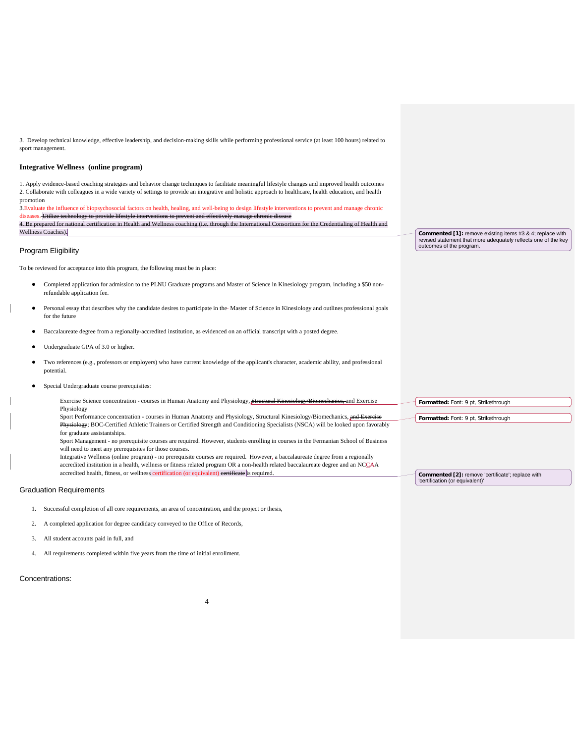3. Develop technical knowledge, effective leadership, and decision-making skills while performing professional service (at least 100 hours) related to sport management.

### **Integrative Wellness (online program)**

1. Apply evidence-based coaching strategies and behavior change techniques to facilitate meaningful lifestyle changes and improved health outcomes 2. Collaborate with colleagues in a wide variety of settings to provide an integrative and holistic approach to healthcare, health education, and health promotion

3.Evaluate the influence of biopsychosocial factors on health, healing, and well-being to design lifestyle interventions to prevent and manage chronic diseases. Utili 4. Be prepared for national certification in Health and Wellness coaching (i.e. through the International Consortium for the Credentialing of Health and Wellness Coaches).

#### Program Eligibility

To be reviewed for acceptance into this program, the following must be in place:

- Completed application for admission to the PLNU Graduate programs and Master of Science in Kinesiology program, including a \$50 nonrefundable application fee.
- Personal essay that describes why the candidate desires to participate in the-Master of Science in Kinesiology and outlines professional goals for the future
- Baccalaureate degree from a regionally-accredited institution, as evidenced on an official transcript with a posted degree.
- Undergraduate GPA of 3.0 or higher.
- Two references (e.g., professors or employers) who have current knowledge of the applicant's character, academic ability, and professional potential.
- Special Undergraduate course prerequisites:
	- Exercise Science concentration courses in Human Anatomy and Physiology, Structural Kinesiology/Biomechanics, and Exercise Physiology Sport Performance concentration - courses in Human Anatomy and Physiology, Structural Kinesiology/Biomechanics, and E
	- Physiology; BOC-Certified Athletic Trainers or Certified Strength and Conditioning Specialists (NSCA) will be looked upon favorably for graduate assistantships.
	- Sport Management no prerequisite courses are required. However, students enrolling in courses in the Fermanian School of Business will need to meet any prerequisites for those courses.
	- Integrative Wellness (online program) no prerequisite courses are required. However, a baccalaureate degree from a regionally accredited institution in a health, wellness or fitness related program OR a non-health related baccalaureate degree and an NCCAA accredited health, fitness, or wellness certification (or equivalent) certificate is required.

#### Graduation Requirements

- 1. Successful completion of all core requirements, an area of concentration, and the project or thesis,
- 2. A completed application for degree candidacy conveyed to the Office of Records,
- 3. All student accounts paid in full, and
- 4. All requirements completed within five years from the time of initial enrollment.

### Concentrations:

**Commented [1]:** remove existing items #3 & 4; replace with revised statement that more adequately reflects one of the key outcomes of the program.

**Formatted:** Font: 9 pt, Strikethrough

**Formatted:** Font: 9 pt, Strikethrough

**Commented [2]:** remove 'certificate'; replace with 'certification (or equivalent)'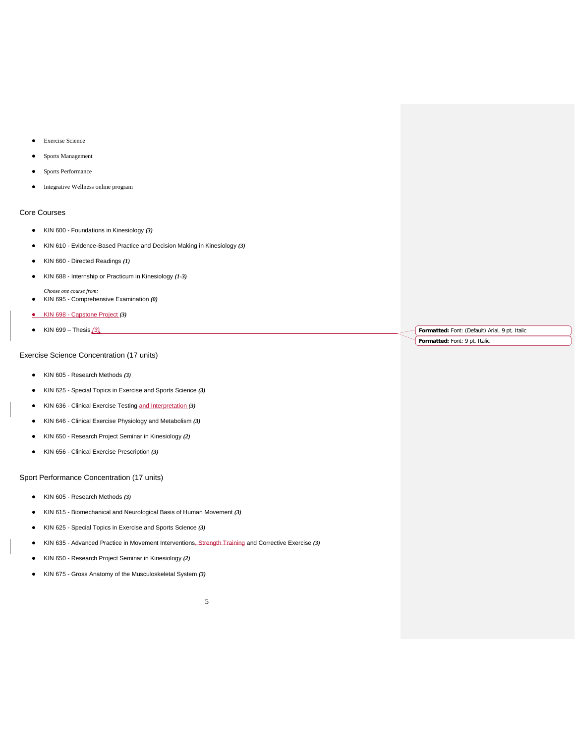- Exercise Science
- Sports Management
- Sports Performance
- Integrative Wellness online program

### Core Courses

- KIN 600 Foundations in Kinesiology *(3)*
- KIN 610 Evidence-Based Practice and Decision Making in Kinesiology *(3)*
- KIN 660 Directed Readings *(1)*
- KIN 688 Internship or Practicum in Kinesiology *(1-3)*

*Choose one course from:*

- KIN 695 Comprehensive Examination *(0)*
- KIN 698 Capstone Project *(3)*
- KIN 699 Thesis *(3)*

### Exercise Science Concentration (17 units)

- KIN 605 Research Methods *(3)*
- KIN 625 Special Topics in Exercise and Sports Science *(3)*
- KIN 636 Clinical Exercise Testing and Interpretation *(3)*
- KIN 646 Clinical Exercise Physiology and Metabolism *(3)*
- KIN 650 Research Project Seminar in Kinesiology *(2)*
- KIN 656 Clinical Exercise Prescription *(3)*

Sport Performance Concentration (17 units)

- KIN 605 Research Methods *(3)*
- KIN 615 Biomechanical and Neurological Basis of Human Movement *(3)*
- KIN 625 Special Topics in Exercise and Sports Science *(3)*
- KIN 635 Advanced Practice in Movement Interventions, Strength Training and Corrective Exercise *(3)*
- KIN 650 Research Project Seminar in Kinesiology *(2)*
- KIN 675 Gross Anatomy of the Musculoskeletal System *(3)*

**Formatted:** Font: (Default) Arial, 9 pt, Italic

**Formatted:** Font: 9 pt, Italic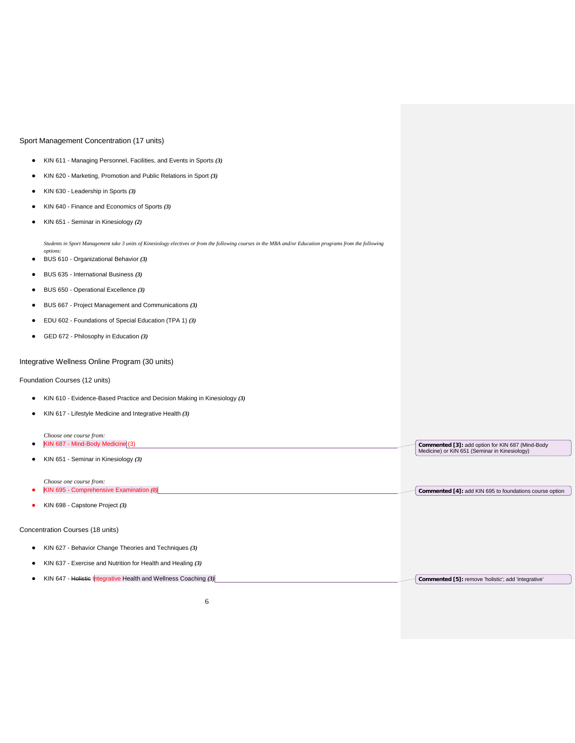### Sport Management Concentration (17 units)

- KIN 611 Managing Personnel, Facilities, and Events in Sports *(3)*
- KIN 620 Marketing, Promotion and Public Relations in Sport *(3)*
- KIN 630 Leadership in Sports *(3)*
- KIN 640 Finance and Economics of Sports *(3)*
- KIN 651 Seminar in Kinesiology *(2)*

*Students in Sport Management take 3 units of Kinesiology electives or from the following courses in the MBA and/or Education programs from the following options:*

- BUS 610 Organizational Behavior *(3)*
- BUS 635 International Business *(3)*
- BUS 650 Operational Excellence *(3)*
- BUS 667 Project Management and Communications *(3)*
- EDU 602 Foundations of Special Education (TPA 1) *(3)*
- GED 672 Philosophy in Education *(3)*

### Integrative Wellness Online Program (30 units)

### Foundation Courses (12 units)

- KIN 610 Evidence-Based Practice and Decision Making in Kinesiology *(3)*
- KIN 617 Lifestyle Medicine and Integrative Health *(3)*

| Choose one course from:                                           |                                                                                                   |
|-------------------------------------------------------------------|---------------------------------------------------------------------------------------------------|
| KIN 687 - Mind-Body Medicine (3)                                  | Commented [3]: add option for KIN 687 (Mind-Body<br>Medicine) or KIN 651 (Seminar in Kinesiology) |
| KIN 651 - Seminar in Kinesiology (3)                              |                                                                                                   |
| Choose one course from:                                           |                                                                                                   |
| KIN 695 - Comprehensive Examination $(0)$                         | Commented [4]: add KIN 695 to foundations course option                                           |
| KIN 698 - Capstone Project (3)                                    |                                                                                                   |
| Concentration Courses (18 units)                                  |                                                                                                   |
| KIN 627 - Behavior Change Theories and Techniques (3)             |                                                                                                   |
| KIN 637 - Exercise and Nutrition for Health and Healing (3)       |                                                                                                   |
| KIN 647 - Holistic Integrative Health and Wellness Coaching $(3)$ | Commented [5]: remove 'holistic'; add 'integrative'                                               |
|                                                                   |                                                                                                   |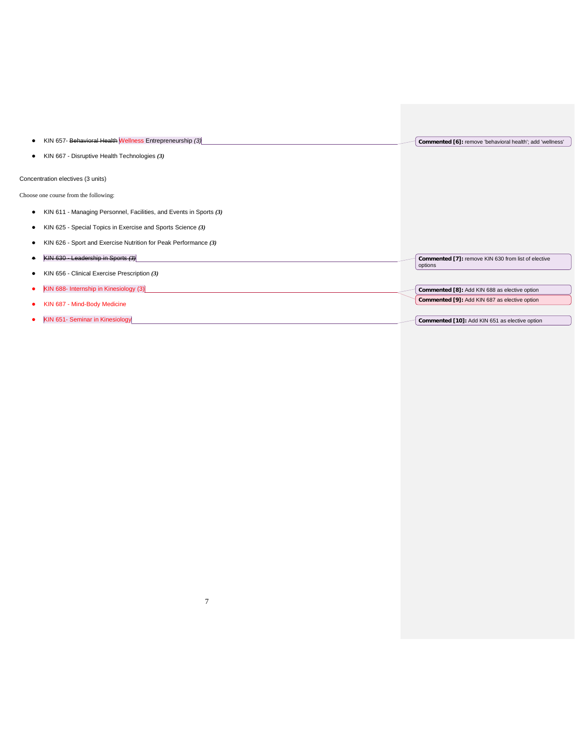| KIN 657- Behavioral Health Wellness Entrepreneurship (3)                | Commented [6]: remove 'behavioral health'; add 'wellness'      |
|-------------------------------------------------------------------------|----------------------------------------------------------------|
| KIN 667 - Disruptive Health Technologies (3)                            |                                                                |
| Concentration electives (3 units)                                       |                                                                |
| Choose one course from the following:                                   |                                                                |
| KIN 611 - Managing Personnel, Facilities, and Events in Sports (3)<br>٠ |                                                                |
| KIN 625 - Special Topics in Exercise and Sports Science (3)             |                                                                |
| KIN 626 - Sport and Exercise Nutrition for Peak Performance (3)         |                                                                |
| KIN 630 - Leadership in Sports (3)                                      | Commented [7]: remove KIN 630 from list of elective<br>options |
| KIN 656 - Clinical Exercise Prescription (3)                            |                                                                |
| KIN 688- Internship in Kinesiology (3)                                  | Commented [8]: Add KIN 688 as elective option                  |
| KIN 687 - Mind-Body Medicine                                            | Commented [9]: Add KIN 687 as elective option                  |
| KIN 651- Seminar in Kinesiology                                         | Commented [10]: Add KIN 651 as elective option                 |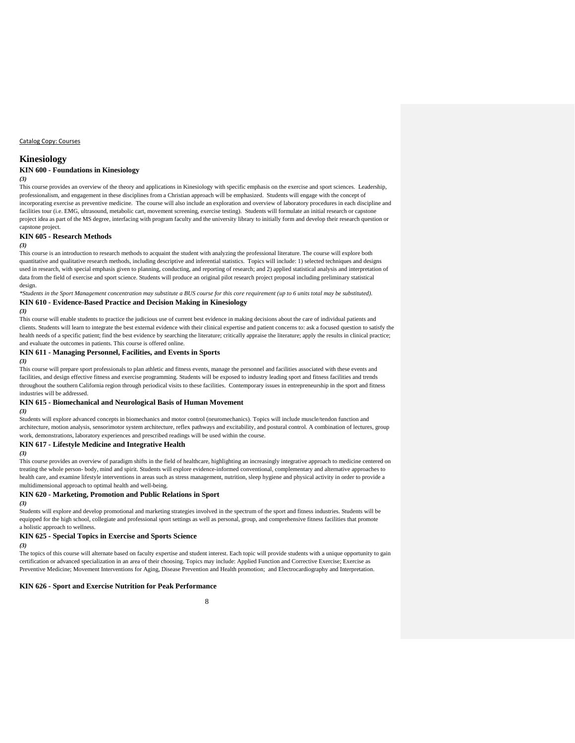Catalog Copy: Courses

### **Kinesiology**

### **KIN 600 - Foundations in Kinesiology**

### *(3)*

This course provides an overview of the theory and applications in Kinesiology with specific emphasis on the exercise and sport sciences. Leadership, professionalism, and engagement in these disciplines from a Christian approach will be emphasized. Students will engage with the concept of incorporating exercise as preventive medicine. The course will also include an exploration and overview of laboratory procedures in each discipline and facilities tour (i.e. EMG, ultrasound, metabolic cart, movement screening, exercise testing). Students will formulate an initial research or capstone project idea as part of the MS degree, interfacing with program faculty and the university library to initially form and develop their research question or capstone project.

#### **KIN 605 - Research Methods**

#### *(3)*

This course is an introduction to research methods to acquaint the student with analyzing the professional literature. The course will explore both quantitative and qualitative research methods, including descriptive and inferential statistics. Topics will include: 1) selected techniques and designs used in research, with special emphasis given to planning, conducting, and reporting of research; and 2) applied statistical analysis and interpretation of data from the field of exercise and sport science. Students will produce an original pilot research project proposal including preliminary statistical design.

*\*Students in the Sport Management concentration may substitute a BUS course for this core requirement (up to 6 units total may be substituted).* **KIN 610 - Evidence-Based Practice and Decision Making in Kinesiology**

#### *(3)*

This course will enable students to practice the judicious use of current best evidence in making decisions about the care of individual patients and clients. Students will learn to integrate the best external evidence with their clinical expertise and patient concerns to: ask a focused question to satisfy the health needs of a specific patient; find the best evidence by searching the literature; critically appraise the literature; apply the results in clinical practice; and evaluate the outcomes in patients. This course is offered online.

#### **KIN 611 - Managing Personnel, Facilities, and Events in Sports**

#### *(3)*

This course will prepare sport professionals to plan athletic and fitness events, manage the personnel and facilities associated with these events and facilities, and design effective fitness and exercise programming. Students will be exposed to industry leading sport and fitness facilities and trends throughout the southern California region through periodical visits to these facilities. Contemporary issues in entrepreneurship in the sport and fitness industries will be addressed.

#### **KIN 615 - Biomechanical and Neurological Basis of Human Movement**

#### *(3)*

Students will explore advanced concepts in biomechanics and motor control (neuromechanics). Topics will include muscle/tendon function and architecture, motion analysis, sensorimotor system architecture, reflex pathways and excitability, and postural control. A combination of lectures, group work, demonstrations, laboratory experiences and prescribed readings will be used within the course.

### **KIN 617 - Lifestyle Medicine and Integrative Health**

#### *(3)*

This course provides an overview of paradigm shifts in the field of healthcare, highlighting an increasingly integrative approach to medicine centered on treating the whole person- body, mind and spirit. Students will explore evidence-informed conventional, complementary and alternative approaches to health care, and examine lifestyle interventions in areas such as stress management, nutrition, sleep hygiene and physical activity in order to provide a multidimensional approach to optimal health and well-being.

### **KIN 620 - Marketing, Promotion and Public Relations in Sport**

#### *(3)*

Students will explore and develop promotional and marketing strategies involved in the spectrum of the sport and fitness industries. Students will be equipped for the high school, collegiate and professional sport settings as well as personal, group, and comprehensive fitness facilities that promote a holistic approach to wellness.

#### **KIN 625 - Special Topics in Exercise and Sports Science**

*(3)*

The topics of this course will alternate based on faculty expertise and student interest. Each topic will provide students with a unique opportunity to gain certification or advanced specialization in an area of their choosing. Topics may include: Applied Function and Corrective Exercise; Exercise as Preventive Medicine; Movement Interventions for Aging, Disease Prevention and Health promotion; and Electrocardiography and Interpretation.

### **KIN 626 - Sport and Exercise Nutrition for Peak Performance**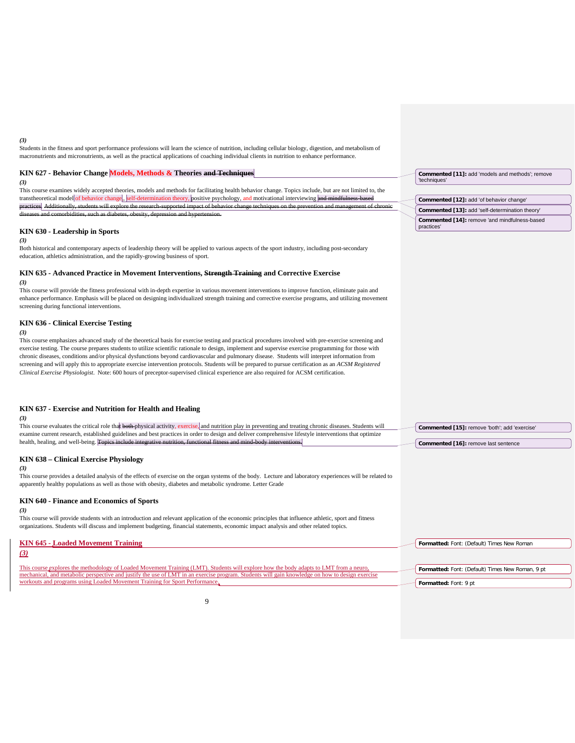#### *(3)*

Students in the fitness and sport performance professions will learn the science of nutrition, including cellular biology, digestion, and metabolism of macronutrients and micronutrients, as well as the practical applications of coaching individual clients in nutrition to enhance performance.

#### **KIN 627 - Behavior Change Models, Methods & Theories and Techniques**

#### *(3)*

This course examines widely accepted theories, models and methods for facilitating health behavior change. Topics include, but are not limited to, the transtheoretical model of behavior change,, self-determination theory, positive psychology, and motivational interviewing and productions of a students will explore the research-supported impact of behavior change techniques on the prevention and management of chronic and management of chronic and management of chronic management of chronic manag diseases and comorbidities, such as diabetes, obesity, depression and hypertension.

### **KIN 630 - Leadership in Sports**

*(3)*

Both historical and contemporary aspects of leadership theory will be applied to various aspects of the sport industry, including post-secondary education, athletics administration, and the rapidly-growing business of sport.

### **KIN 635 - Advanced Practice in Movement Interventions, Strength Training and Corrective Exercise**

#### *(3)*

This course will provide the fitness professional with in-depth expertise in various movement interventions to improve function, eliminate pain and enhance performance. Emphasis will be placed on designing individualized strength training and corrective exercise programs, and utilizing movement screening during functional interventions.

#### **KIN 636 - Clinical Exercise Testing**

*(3)*

This course emphasizes advanced study of the theoretical basis for exercise testing and practical procedures involved with pre-exercise screening and exercise testing. The course prepares students to utilize scientific rationale to design, implement and supervise exercise programming for those with chronic diseases, conditions and/or physical dysfunctions beyond cardiovascular and pulmonary disease. Students will interpret information from screening and will apply this to appropriate exercise intervention protocols. Students will be prepared to pursue certification as an *ACSM Registered Clinical Exercise Physiologist*. Note: 600 hours of preceptor-supervised clinical experience are also required for ACSM certification.

### **KIN 637 - Exercise and Nutrition for Health and Healing**

*(3)* This course evaluates the critical role that both physical activity, exercise, and nutrition play in preventing and treating chronic diseases. Students will examine current research, established guidelines and best practices in order to design and deliver comprehensive lifestyle interventions that optimize health, healing, and well-being. **Topics include KIN 638 – Clinical Exercise Physiology** *(3)* This course provides a detailed analysis of the effects of exercise on the organ systems of the body. Lecture and laboratory experiences will be related to apparently healthy populations as well as those with obesity, diabetes and metabolic syndrome. Letter Grade **KIN 640 - Finance and Economics of Sports** *(3)* **Commented [15]:** remove 'both'; add 'exercise' **Commented [16]:** remove last sentence

This course will provide students with an introduction and relevant application of the economic principles that influence athletic, sport and fitness organizations. Students will discuss and implement budgeting, financial statements, economic impact analysis and other related topics.

| <b>KIN 645 - Loaded Movement Training</b>                                                                                                                                                                                                                                                                                                                                | Formatted: Font: (Default) Times New Roman                                |
|--------------------------------------------------------------------------------------------------------------------------------------------------------------------------------------------------------------------------------------------------------------------------------------------------------------------------------------------------------------------------|---------------------------------------------------------------------------|
| $\left(3\right)$                                                                                                                                                                                                                                                                                                                                                         |                                                                           |
| This course explores the methodology of Loaded Movement Training (LMT). Students will explore how the body adapts to LMT from a neuro,<br>mechanical, and metabolic perspective and justify the use of LMT in an exercise program. Students will gain knowledge on how to design exercise<br>workouts and programs using Loaded Movement Training for Sport Performance, | Formatted: Font: (Default) Times New Roman, 9 pt<br>Formatted: Font: 9 pt |

**Commented [11]:** add 'models and methods'; remove 'techniques'

#### **Commented [12]:** add 'of behavior change' **Commented [13]:** add 'self-determination theory' **Commented [14]:** remove 'and mindfulness-based practices'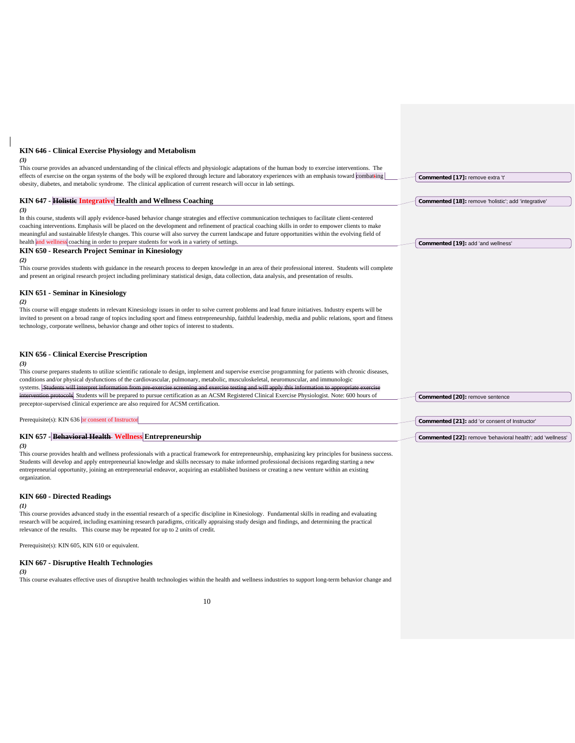#### **KIN 646 - Clinical Exercise Physiology and Metabolism**

#### *(3)*

This course provides an advanced understanding of the clinical effects and physiologic adaptations of the human body to exercise interventions. The effects of exercise on the organ systems of the body will be explored through lecture and laboratory experiences with an emphasis toward combatting obesity, diabetes, and metabolic syndrome. The clinical application of current research will occur in lab settings. **KIN 647 - Holistic Integrative Health and Wellness Coaching** *(3)* In this course, students will apply evidence-based behavior change strategies and effective communication techniques to facilitate client-centered coaching interventions. Emphasis will be placed on the development and refinement of practical coaching skills in order to empower clients to make meaningful and sustainable lifestyle changes. This course will also survey the current landscape and future opportunities within the evolving field of health and wellness coaching in order to prepare students for work in a variety of settings **KIN 650 - Research Project Seminar in Kinesiology** *(2)* This course provides students with guidance in the research process to deepen knowledge in an area of their professional interest. Students will complete and present an original research project including preliminary statistical design, data collection, data analysis, and presentation of results. **KIN 651 - Seminar in Kinesiology** *(2)* This course will engage students in relevant Kinesiology issues in order to solve current problems and lead future initiatives. Industry experts will be invited to present on a broad range of topics including sport and fitness entrepreneurship, faithful leadership, media and public relations, sport and fitness technology, corporate wellness, behavior change and other topics of interest to students. **KIN 656 - Clinical Exercise Prescription** *(3)* This course prepares students to utilize scientific rationale to design, implement and supervise exercise programming for patients with chronic diseases, conditions and/or physical dysfunctions of the cardiovascular, pulmonary, metabolic, musculoskeletal, neuromuscular, and immunologic systems. <del>Students will interpret information from pre-exercise screening and exercise testing and will apply this information to appropriate exercise</del> eek. Students will be prepared to pursue certification as an ACSM Registered Clinical Exercise Physiologist. Note: 600 hours of preceptor-supervised clinical experience are also required for ACSM certification. Prerequisite(s): KIN 636 or consent of Instructor **KIN 657 - Behavioral Health Wellness Entrepreneurship** *(3)* **Commented [17]:** remove extra 't' **Commented [18]:** remove 'holistic'; add 'integrative' **Commented [19]:** add 'and wellness' **Commented [20]:** remove sentence **Commented [21]:** add 'or consent of Instructor' **Commented [22]:** remove 'behavioral health'; add 'wellness'

This course provides health and wellness professionals with a practical framework for entrepreneurship, emphasizing key principles for business success. Students will develop and apply entrepreneurial knowledge and skills necessary to make informed professional decisions regarding starting a new entrepreneurial opportunity, joining an entrepreneurial endeavor, acquiring an established business or creating a new venture within an existing organization.

### **KIN 660 - Directed Readings**

#### *(1)*

This course provides advanced study in the essential research of a specific discipline in Kinesiology. Fundamental skills in reading and evaluating research will be acquired, including examining research paradigms, critically appraising study design and findings, and determining the practical relevance of the results. This course may be repeated for up to 2 units of credit.

Prerequisite(s): KIN 605, KIN 610 or equivalent.

### **KIN 667 - Disruptive Health Technologies**

*(3)*

This course evaluates effective uses of disruptive health technologies within the health and wellness industries to support long-term behavior change and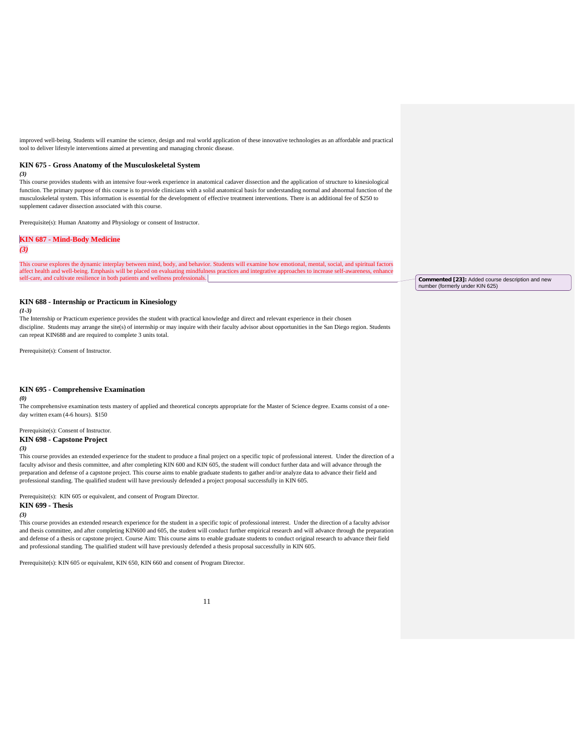improved well-being. Students will examine the science, design and real world application of these innovative technologies as an affordable and practical tool to deliver lifestyle interventions aimed at preventing and managing chronic disease.

#### **KIN 675 - Gross Anatomy of the Musculoskeletal System**

*(3)*

This course provides students with an intensive four-week experience in anatomical cadaver dissection and the application of structure to kinesiological function. The primary purpose of this course is to provide clinicians with a solid anatomical basis for understanding normal and abnormal function of the musculoskeletal system. This information is essential for the development of effective treatment interventions. There is an additional fee of \$250 to supplement cadaver dissection associated with this course.

Prerequisite(s): Human Anatomy and Physiology or consent of Instructor.

#### **KIN 687 - Mind-Body Medicine**

#### *(3)*

This course explores the dynamic interplay between mind, body, and behavior. Students will examine how emotional, mental, social, and spiritual factors affect health and well-being. Emphasis will be placed on evaluating mindfulness practices and integrative approaches to increase self-awareness, enhance self-care, and cultivate resilience in both patients and wellness professionals.

#### **KIN 688 - Internship or Practicum in Kinesiology**

*(1-3)*

The Internship or Practicum experience provides the student with practical knowledge and direct and relevant experience in their chosen discipline. Students may arrange the site(s) of internship or may inquire with their faculty advisor about opportunities in the San Diego region. Students can repeat KIN688 and are required to complete 3 units total.

Prerequisite(s): Consent of Instructor.

#### **KIN 695 - Comprehensive Examination**

#### *(0)*

The comprehensive examination tests mastery of applied and theoretical concepts appropriate for the Master of Science degree. Exams consist of a oneday written exam (4-6 hours). \$150

Prerequisite(s): Consent of Instructor.

### **KIN 698 - Capstone Project**

#### *(3)*

This course provides an extended experience for the student to produce a final project on a specific topic of professional interest. Under the direction of a faculty advisor and thesis committee, and after completing KIN 600 and KIN 605, the student will conduct further data and will advance through the preparation and defense of a capstone project. This course aims to enable graduate students to gather and/or analyze data to advance their field and professional standing. The qualified student will have previously defended a project proposal successfully in KIN 605.

Prerequisite(s): KIN 605 or equivalent, and consent of Program Director.

#### **KIN 699 - Thesis**

### *(3)*

This course provides an extended research experience for the student in a specific topic of professional interest. Under the direction of a faculty advisor and thesis committee, and after completing KIN600 and 605, the student will conduct further empirical research and will advance through the preparation and defense of a thesis or capstone project. Course Aim: This course aims to enable graduate students to conduct original research to advance their field and professional standing. The qualified student will have previously defended a thesis proposal successfully in KIN 605.

Prerequisite(s): KIN 605 or equivalent, KIN 650, KIN 660 and consent of Program Director.

**Commented [23]:** Added course description and new number (formerly under KIN 625)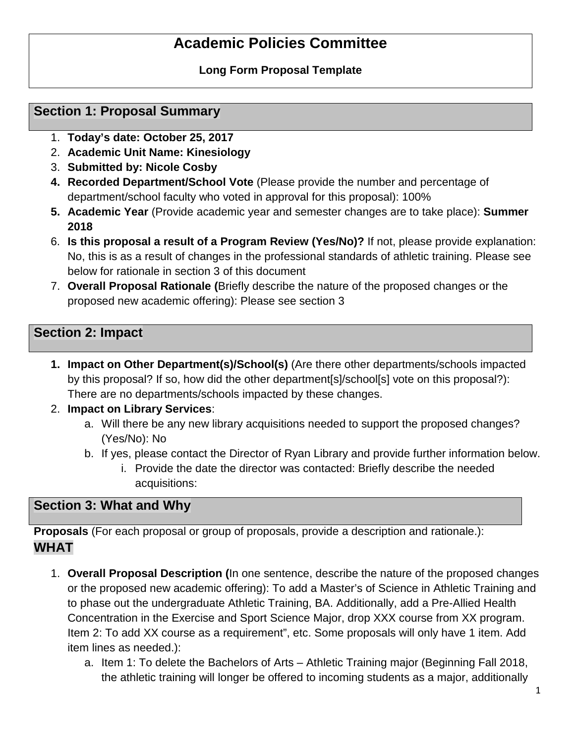# **Academic Policies Committee**

# **Long Form Proposal Template**

# **Section 1: Proposal Summary**

- 1. **Today's date: October 25, 2017**
- 2. **Academic Unit Name: Kinesiology**
- 3. **Submitted by: Nicole Cosby**
- **4. Recorded Department/School Vote** (Please provide the number and percentage of department/school faculty who voted in approval for this proposal): 100%
- **5. Academic Year** (Provide academic year and semester changes are to take place): **Summer 2018**
- 6. **Is this proposal a result of a Program Review (Yes/No)?** If not, please provide explanation: No, this is as a result of changes in the professional standards of athletic training. Please see below for rationale in section 3 of this document
- 7. **Overall Proposal Rationale (**Briefly describe the nature of the proposed changes or the proposed new academic offering): Please see section 3

# **Section 2: Impact**

- **1. Impact on Other Department(s)/School(s)** (Are there other departments/schools impacted by this proposal? If so, how did the other department[s]/school[s] vote on this proposal?): There are no departments/schools impacted by these changes.
- 2. **Impact on Library Services**:
	- a. Will there be any new library acquisitions needed to support the proposed changes? (Yes/No): No
	- b. If yes, please contact the Director of Ryan Library and provide further information below.
		- i. Provide the date the director was contacted: Briefly describe the needed acquisitions:

# **Section 3: What and Why**

**Proposals** (For each proposal or group of proposals, provide a description and rationale.): **WHAT** 

- 1. **Overall Proposal Description (**In one sentence, describe the nature of the proposed changes or the proposed new academic offering): To add a Master's of Science in Athletic Training and to phase out the undergraduate Athletic Training, BA. Additionally, add a Pre-Allied Health Concentration in the Exercise and Sport Science Major, drop XXX course from XX program. Item 2: To add XX course as a requirement", etc. Some proposals will only have 1 item. Add item lines as needed.):
	- a. Item 1: To delete the Bachelors of Arts Athletic Training major (Beginning Fall 2018, the athletic training will longer be offered to incoming students as a major, additionally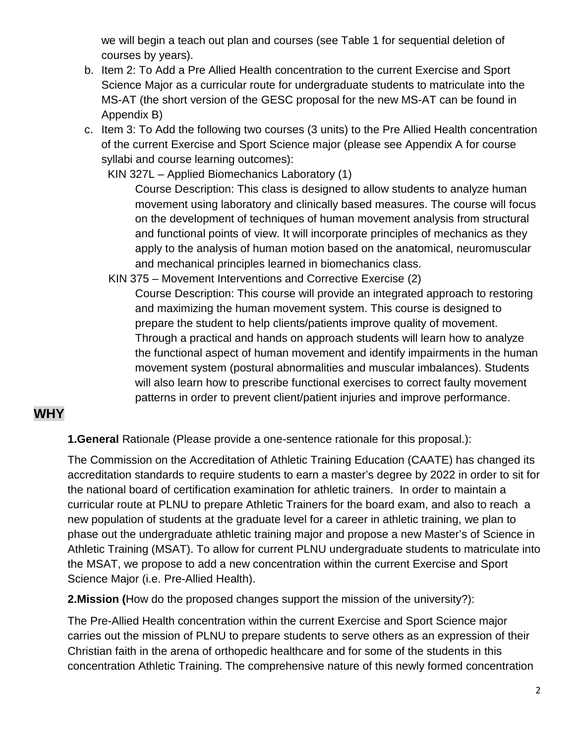we will begin a teach out plan and courses (see Table 1 for sequential deletion of courses by years).

- b. Item 2: To Add a Pre Allied Health concentration to the current Exercise and Sport Science Major as a curricular route for undergraduate students to matriculate into the MS-AT (the short version of the GESC proposal for the new MS-AT can be found in Appendix B)
- c. Item 3: To Add the following two courses (3 units) to the Pre Allied Health concentration of the current Exercise and Sport Science major (please see Appendix A for course syllabi and course learning outcomes):

KIN 327L – Applied Biomechanics Laboratory (1)

Course Description: This class is designed to allow students to analyze human movement using laboratory and clinically based measures. The course will focus on the development of techniques of human movement analysis from structural and functional points of view. It will incorporate principles of mechanics as they apply to the analysis of human motion based on the anatomical, neuromuscular and mechanical principles learned in biomechanics class.

KIN 375 – Movement Interventions and Corrective Exercise (2)

Course Description: This course will provide an integrated approach to restoring and maximizing the human movement system. This course is designed to prepare the student to help clients/patients improve quality of movement. Through a practical and hands on approach students will learn how to analyze the functional aspect of human movement and identify impairments in the human movement system (postural abnormalities and muscular imbalances). Students will also learn how to prescribe functional exercises to correct faulty movement patterns in order to prevent client/patient injuries and improve performance.

# **WHY**

**1.General** Rationale (Please provide a one-sentence rationale for this proposal.):

The Commission on the Accreditation of Athletic Training Education (CAATE) has changed its accreditation standards to require students to earn a master's degree by 2022 in order to sit for the national board of certification examination for athletic trainers. In order to maintain a curricular route at PLNU to prepare Athletic Trainers for the board exam, and also to reach a new population of students at the graduate level for a career in athletic training, we plan to phase out the undergraduate athletic training major and propose a new Master's of Science in Athletic Training (MSAT). To allow for current PLNU undergraduate students to matriculate into the MSAT, we propose to add a new concentration within the current Exercise and Sport Science Major (i.e. Pre-Allied Health).

**2.Mission (**How do the proposed changes support the mission of the university?):

The Pre-Allied Health concentration within the current Exercise and Sport Science major carries out the mission of PLNU to prepare students to serve others as an expression of their Christian faith in the arena of orthopedic healthcare and for some of the students in this concentration Athletic Training. The comprehensive nature of this newly formed concentration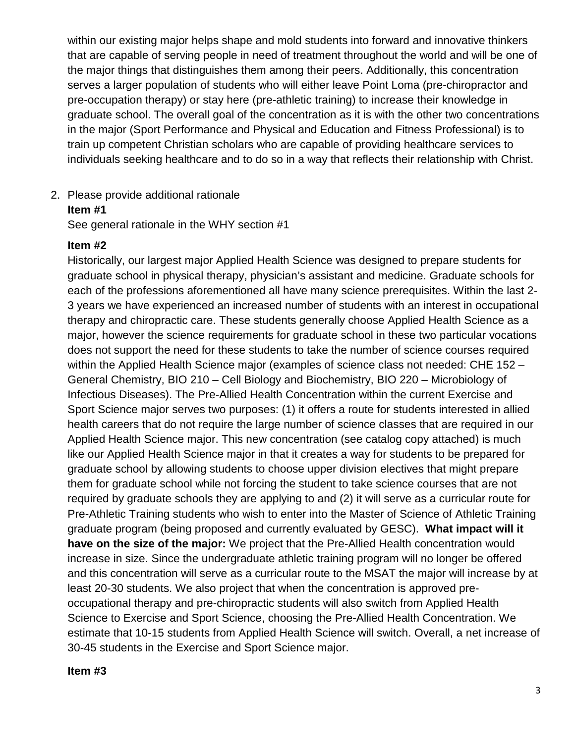within our existing major helps shape and mold students into forward and innovative thinkers that are capable of serving people in need of treatment throughout the world and will be one of the major things that distinguishes them among their peers. Additionally, this concentration serves a larger population of students who will either leave Point Loma (pre-chiropractor and pre-occupation therapy) or stay here (pre-athletic training) to increase their knowledge in graduate school. The overall goal of the concentration as it is with the other two concentrations in the major (Sport Performance and Physical and Education and Fitness Professional) is to train up competent Christian scholars who are capable of providing healthcare services to individuals seeking healthcare and to do so in a way that reflects their relationship with Christ.

2. Please provide additional rationale

### **Item #1**

See general rationale in the WHY section #1

### **Item #2**

Historically, our largest major Applied Health Science was designed to prepare students for graduate school in physical therapy, physician's assistant and medicine. Graduate schools for each of the professions aforementioned all have many science prerequisites. Within the last 2- 3 years we have experienced an increased number of students with an interest in occupational therapy and chiropractic care. These students generally choose Applied Health Science as a major, however the science requirements for graduate school in these two particular vocations does not support the need for these students to take the number of science courses required within the Applied Health Science major (examples of science class not needed: CHE 152 -General Chemistry, BIO 210 – Cell Biology and Biochemistry, BIO 220 – Microbiology of Infectious Diseases). The Pre-Allied Health Concentration within the current Exercise and Sport Science major serves two purposes: (1) it offers a route for students interested in allied health careers that do not require the large number of science classes that are required in our Applied Health Science major. This new concentration (see catalog copy attached) is much like our Applied Health Science major in that it creates a way for students to be prepared for graduate school by allowing students to choose upper division electives that might prepare them for graduate school while not forcing the student to take science courses that are not required by graduate schools they are applying to and (2) it will serve as a curricular route for Pre-Athletic Training students who wish to enter into the Master of Science of Athletic Training graduate program (being proposed and currently evaluated by GESC). **What impact will it have on the size of the major:** We project that the Pre-Allied Health concentration would increase in size. Since the undergraduate athletic training program will no longer be offered and this concentration will serve as a curricular route to the MSAT the major will increase by at least 20-30 students. We also project that when the concentration is approved preoccupational therapy and pre-chiropractic students will also switch from Applied Health Science to Exercise and Sport Science, choosing the Pre-Allied Health Concentration. We estimate that 10-15 students from Applied Health Science will switch. Overall, a net increase of 30-45 students in the Exercise and Sport Science major.

### **Item #3**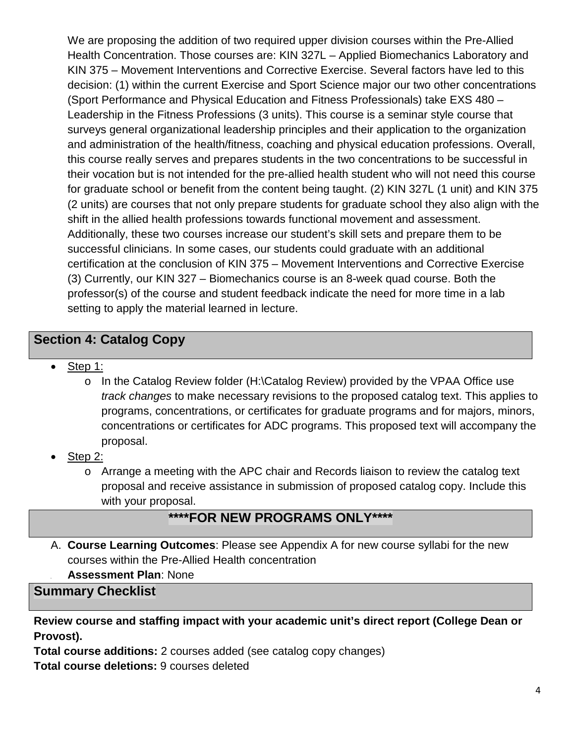We are proposing the addition of two required upper division courses within the Pre-Allied Health Concentration. Those courses are: KIN 327L – Applied Biomechanics Laboratory and KIN 375 – Movement Interventions and Corrective Exercise. Several factors have led to this decision: (1) within the current Exercise and Sport Science major our two other concentrations (Sport Performance and Physical Education and Fitness Professionals) take EXS 480 – Leadership in the Fitness Professions (3 units). This course is a seminar style course that surveys general organizational leadership principles and their application to the organization and administration of the health/fitness, coaching and physical education professions. Overall, this course really serves and prepares students in the two concentrations to be successful in their vocation but is not intended for the pre-allied health student who will not need this course for graduate school or benefit from the content being taught. (2) KIN 327L (1 unit) and KIN 375 (2 units) are courses that not only prepare students for graduate school they also align with the shift in the allied health professions towards functional movement and assessment. Additionally, these two courses increase our student's skill sets and prepare them to be successful clinicians. In some cases, our students could graduate with an additional certification at the conclusion of KIN 375 – Movement Interventions and Corrective Exercise (3) Currently, our KIN 327 – Biomechanics course is an 8-week quad course. Both the professor(s) of the course and student feedback indicate the need for more time in a lab setting to apply the material learned in lecture.

# **Section 4: Catalog Copy**

- Step 1:
	- o In the Catalog Review folder (H:\Catalog Review) provided by the VPAA Office use *track changes* to make necessary revisions to the proposed catalog text. This applies to programs, concentrations, or certificates for graduate programs and for majors, minors, concentrations or certificates for ADC programs. This proposed text will accompany the proposal.
- Step 2:
	- o Arrange a meeting with the APC chair and Records liaison to review the catalog text proposal and receive assistance in submission of proposed catalog copy. Include this with your proposal.

# **\*\*\*\*FOR NEW PROGRAMS ONLY\*\*\*\***

- A. **Course Learning Outcomes**: Please see Appendix A for new course syllabi for the new courses within the Pre-Allied Health concentration
- **B. Assessment Plan**: None

**Summary Checklist** 

**Review course and staffing impact with your academic unit's direct report (College Dean or Provost).**

**Total course additions:** 2 courses added (see catalog copy changes) **Total course deletions:** 9 courses deleted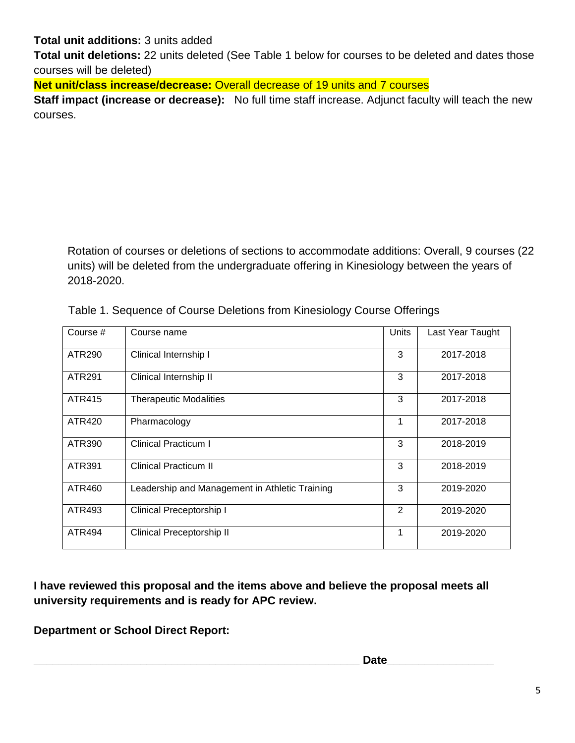# **Total unit additions:** 3 units added

**Total unit deletions:** 22 units deleted (See Table 1 below for courses to be deleted and dates those courses will be deleted)

**Net unit/class increase/decrease:** Overall decrease of 19 units and 7 courses

**Staff impact (increase or decrease):** No full time staff increase. Adjunct faculty will teach the new courses.

Rotation of courses or deletions of sections to accommodate additions: Overall, 9 courses (22 units) will be deleted from the undergraduate offering in Kinesiology between the years of 2018-2020.

| Course #      | Course name                                    | <b>Units</b> | Last Year Taught |
|---------------|------------------------------------------------|--------------|------------------|
| <b>ATR290</b> | Clinical Internship I                          | 3            | 2017-2018        |
| ATR291        | Clinical Internship II                         | 3            | 2017-2018        |
| <b>ATR415</b> | <b>Therapeutic Modalities</b>                  | 3            | 2017-2018        |
| ATR420        | Pharmacology                                   | 1            | 2017-2018        |
| ATR390        | <b>Clinical Practicum I</b>                    | 3            | 2018-2019        |
| ATR391        | <b>Clinical Practicum II</b>                   | 3            | 2018-2019        |
| ATR460        | Leadership and Management in Athletic Training | 3            | 2019-2020        |
| ATR493        | Clinical Preceptorship I                       | 2            | 2019-2020        |
| ATR494        | Clinical Preceptorship II                      | 1            | 2019-2020        |

Table 1. Sequence of Course Deletions from Kinesiology Course Offerings

**I have reviewed this proposal and the items above and believe the proposal meets all university requirements and is ready for APC review.**

**Department or School Direct Report:**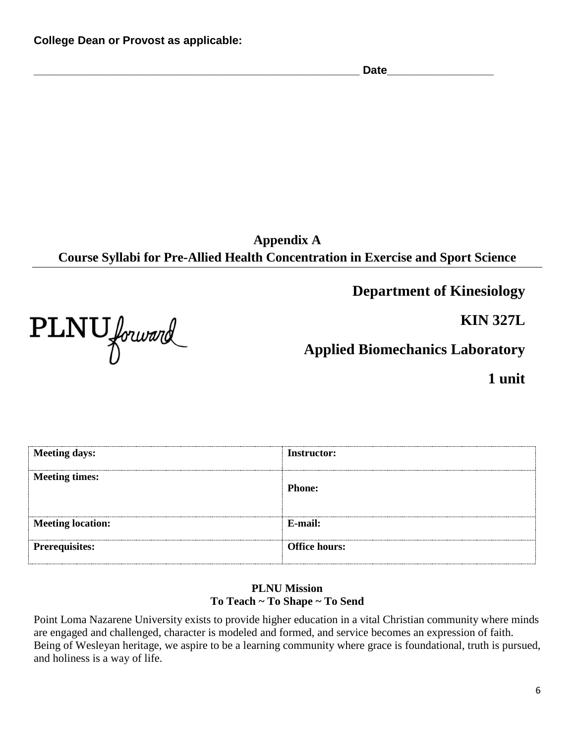**\_\_\_\_\_\_\_\_\_\_\_\_\_\_\_\_\_\_\_\_\_\_\_\_\_\_\_\_\_\_\_\_\_\_\_\_\_\_\_\_\_\_\_\_\_\_\_\_\_\_\_\_ Date\_\_\_\_\_\_\_\_\_\_\_\_\_\_\_\_\_**

**Appendix A Course Syllabi for Pre-Allied Health Concentration in Exercise and Sport Science**

**Department of Kinesiology**

**KIN 327L**

PLNU forward

**Applied Biomechanics Laboratory**

**1 unit**

| <b>Meeting days:</b>     | <b>Instructor:</b>   |
|--------------------------|----------------------|
| <b>Meeting times:</b>    | <b>Phone:</b>        |
| <b>Meeting location:</b> | E-mail:              |
| <b>Prerequisites:</b>    | <b>Office hours:</b> |

## **PLNU Mission To Teach ~ To Shape ~ To Send**

Point Loma Nazarene University exists to provide higher education in a vital Christian community where minds are engaged and challenged, character is modeled and formed, and service becomes an expression of faith. Being of Wesleyan heritage, we aspire to be a learning community where grace is foundational, truth is pursued, and holiness is a way of life.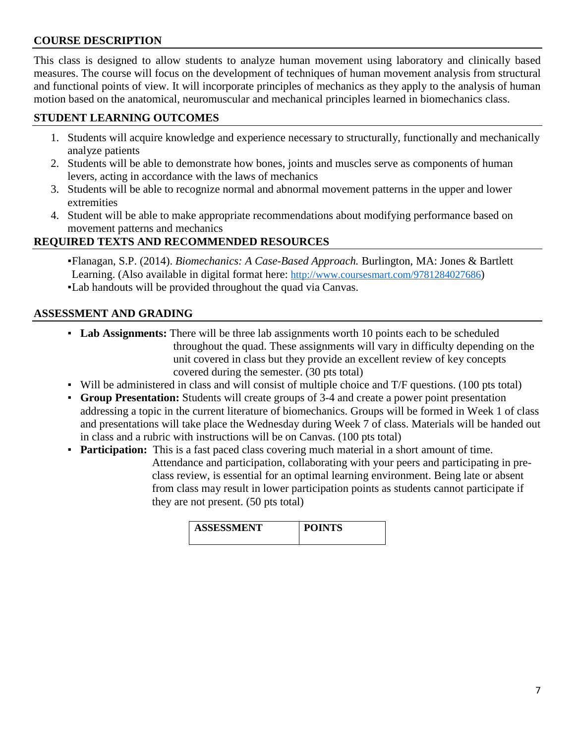# **COURSE DESCRIPTION**

This class is designed to allow students to analyze human movement using laboratory and clinically based measures. The course will focus on the development of techniques of human movement analysis from structural and functional points of view. It will incorporate principles of mechanics as they apply to the analysis of human motion based on the anatomical, neuromuscular and mechanical principles learned in biomechanics class.

# **STUDENT LEARNING OUTCOMES**

- 1. Students will acquire knowledge and experience necessary to structurally, functionally and mechanically analyze patients
- 2. Students will be able to demonstrate how bones, joints and muscles serve as components of human levers, acting in accordance with the laws of mechanics
- 3. Students will be able to recognize normal and abnormal movement patterns in the upper and lower extremities
- 4. Student will be able to make appropriate recommendations about modifying performance based on movement patterns and mechanics

# **REQUIRED TEXTS AND RECOMMENDED RESOURCES**

▪Flanagan, S.P. (2014). *Biomechanics: A Case-Based Approach.* Burlington, MA: Jones & Bartlett Learning. (Also available in digital format here: [http://www.coursesmart.com/9781284027686\)](http://www.coursesmart.com/9781284027686) ▪Lab handouts will be provided throughout the quad via Canvas.

# **ASSESSMENT AND GRADING**

- **Lab Assignments:** There will be three lab assignments worth 10 points each to be scheduled throughout the quad. These assignments will vary in difficulty depending on the unit covered in class but they provide an excellent review of key concepts covered during the semester. (30 pts total)
- Will be administered in class and will consist of multiple choice and T/F questions. (100 pts total)
- **Group Presentation:** Students will create groups of 3-4 and create a power point presentation addressing a topic in the current literature of biomechanics. Groups will be formed in Week 1 of class and presentations will take place the Wednesday during Week 7 of class. Materials will be handed out in class and a rubric with instructions will be on Canvas. (100 pts total)
- **Participation:** This is a fast paced class covering much material in a short amount of time. Attendance and participation, collaborating with your peers and participating in preclass review, is essential for an optimal learning environment. Being late or absent from class may result in lower participation points as students cannot participate if they are not present. (50 pts total)

| <b>ASSESSMENT</b> | <b>POINTS</b> |
|-------------------|---------------|
|                   |               |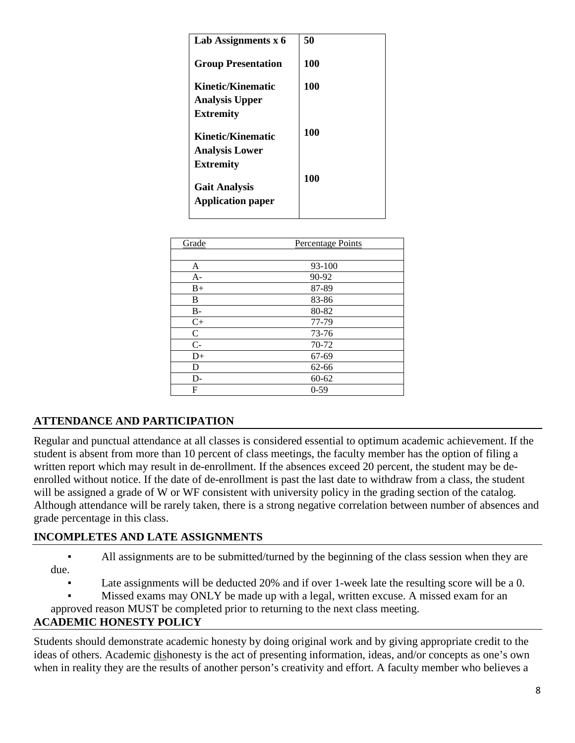| Lab Assignments x 6                              | 50  |
|--------------------------------------------------|-----|
| <b>Group Presentation</b>                        | 100 |
| Kinetic/Kinematic                                | 100 |
| <b>Analysis Upper</b>                            |     |
| <b>Extremity</b>                                 |     |
| Kinetic/Kinematic                                | 100 |
| <b>Analysis Lower</b>                            |     |
| <b>Extremity</b>                                 |     |
| <b>Gait Analysis</b><br><b>Application paper</b> | 100 |
|                                                  |     |

| Grade        | Percentage Points |
|--------------|-------------------|
|              |                   |
| A            | 93-100            |
| $A-$         | 90-92             |
| $B+$         | 87-89             |
| B            | 83-86             |
| $B -$        | 80-82             |
| $C+$         | 77-79             |
| $\mathsf{C}$ | 73-76             |
| $C-$         | 70-72             |
| $D+$         | 67-69             |
| D            | 62-66             |
| $D-$         | $60 - 62$         |
| F            | $0 - 59$          |

# **ATTENDANCE AND PARTICIPATION**

Regular and punctual attendance at all classes is considered essential to optimum academic achievement. If the student is absent from more than 10 percent of class meetings, the faculty member has the option of filing a written report which may result in de-enrollment. If the absences exceed 20 percent, the student may be deenrolled without notice. If the date of de-enrollment is past the last date to withdraw from a class, the student will be assigned a grade of W or WF consistent with university policy in the grading section of the catalog. Although attendance will be rarely taken, there is a strong negative correlation between number of absences and grade percentage in this class.

### **INCOMPLETES AND LATE ASSIGNMENTS**

▪ All assignments are to be submitted/turned by the beginning of the class session when they are due.

Late assignments will be deducted 20% and if over 1-week late the resulting score will be a 0.

Missed exams may ONLY be made up with a legal, written excuse. A missed exam for an

approved reason MUST be completed prior to returning to the next class meeting.

# **ACADEMIC HONESTY POLICY**

Students should demonstrate academic honesty by doing original work and by giving appropriate credit to the ideas of others. Academic dishonesty is the act of presenting information, ideas, and/or concepts as one's own when in reality they are the results of another person's creativity and effort. A faculty member who believes a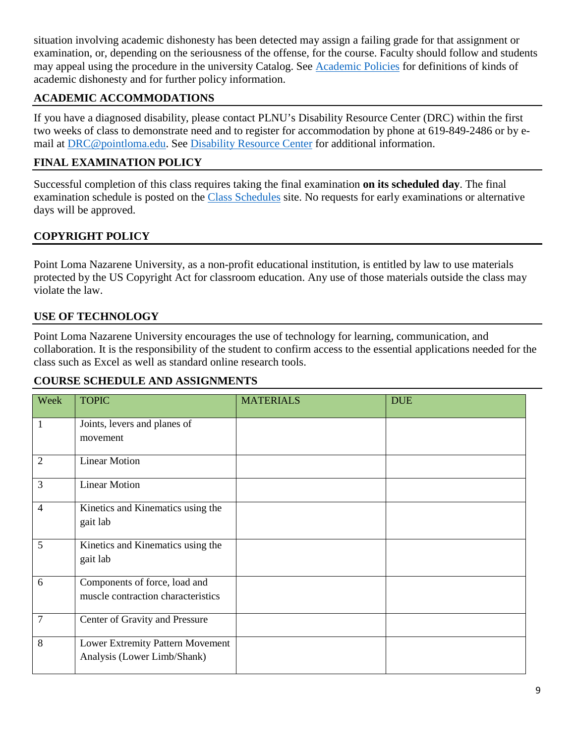situation involving academic dishonesty has been detected may assign a failing grade for that assignment or examination, or, depending on the seriousness of the offense, for the course. Faculty should follow and students may appeal using the procedure in the university Catalog. See [Academic Policies](http://catalog.pointloma.edu/content.php?catoid=18&navoid=1278) for definitions of kinds of academic dishonesty and for further policy information.

# **ACADEMIC ACCOMMODATIONS**

If you have a diagnosed disability, please contact PLNU's Disability Resource Center (DRC) within the first two weeks of class to demonstrate need and to register for accommodation by phone at 619-849-2486 or by email at [DRC@pointloma.edu.](mailto:DRC@pointloma.edu) See [Disability Resource Center](http://www.pointloma.edu/experience/offices/administrative-offices/academic-advising-office/disability-resource-center) for additional information.

# **FINAL EXAMINATION POLICY**

Successful completion of this class requires taking the final examination **on its scheduled day**. The final examination schedule is posted on the [Class Schedules](http://www.pointloma.edu/experience/academics/class-schedules) site. No requests for early examinations or alternative days will be approved.

# **COPYRIGHT POLICY**

Point Loma Nazarene University, as a non-profit educational institution, is entitled by law to use materials protected by the US Copyright Act for classroom education. Any use of those materials outside the class may violate the law.

## **USE OF TECHNOLOGY**

Point Loma Nazarene University encourages the use of technology for learning, communication, and collaboration. It is the responsibility of the student to confirm access to the essential applications needed for the class such as Excel as well as standard online research tools.

# **COURSE SCHEDULE AND ASSIGNMENTS**

| Week           | <b>TOPIC</b>                                                        | <b>MATERIALS</b> | <b>DUE</b> |
|----------------|---------------------------------------------------------------------|------------------|------------|
| 1              | Joints, levers and planes of<br>movement                            |                  |            |
| $\overline{2}$ | <b>Linear Motion</b>                                                |                  |            |
| 3              | <b>Linear Motion</b>                                                |                  |            |
| $\overline{4}$ | Kinetics and Kinematics using the<br>gait lab                       |                  |            |
| 5              | Kinetics and Kinematics using the<br>gait lab                       |                  |            |
| 6              | Components of force, load and<br>muscle contraction characteristics |                  |            |
| $\overline{7}$ | Center of Gravity and Pressure                                      |                  |            |
| 8              | Lower Extremity Pattern Movement<br>Analysis (Lower Limb/Shank)     |                  |            |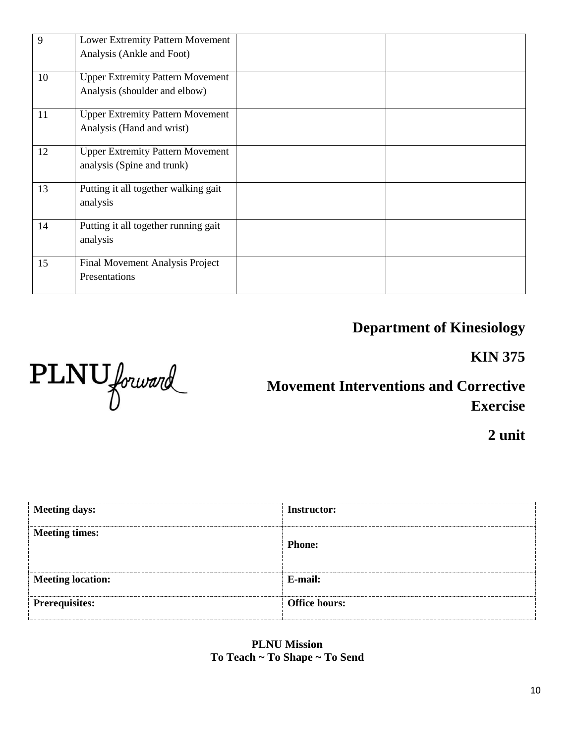| 9  | Lower Extremity Pattern Movement        |  |
|----|-----------------------------------------|--|
|    | Analysis (Ankle and Foot)               |  |
| 10 | <b>Upper Extremity Pattern Movement</b> |  |
|    | Analysis (shoulder and elbow)           |  |
| 11 | <b>Upper Extremity Pattern Movement</b> |  |
|    | Analysis (Hand and wrist)               |  |
| 12 | <b>Upper Extremity Pattern Movement</b> |  |
|    | analysis (Spine and trunk)              |  |
| 13 | Putting it all together walking gait    |  |
|    | analysis                                |  |
| 14 | Putting it all together running gait    |  |
|    | analysis                                |  |
| 15 | Final Movement Analysis Project         |  |
|    | Presentations                           |  |
|    |                                         |  |

# **Department of Kinesiology**

**KIN 375**



**Movement Interventions and Corrective Exercise**

**2 unit**

| <b>Meeting days:</b>     | <b>Instructor:</b>   |
|--------------------------|----------------------|
| <b>Meeting times:</b>    | <b>Phone:</b>        |
| <b>Meeting location:</b> | E-mail:              |
|                          |                      |
| <b>Prerequisites:</b>    | <b>Office hours:</b> |

**PLNU Mission To Teach ~ To Shape ~ To Send**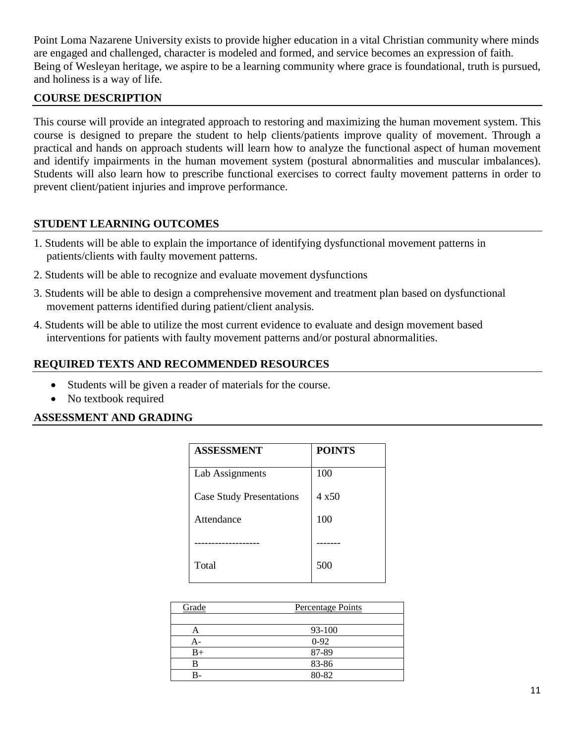Point Loma Nazarene University exists to provide higher education in a vital Christian community where minds are engaged and challenged, character is modeled and formed, and service becomes an expression of faith. Being of Wesleyan heritage, we aspire to be a learning community where grace is foundational, truth is pursued, and holiness is a way of life.

## **COURSE DESCRIPTION**

This course will provide an integrated approach to restoring and maximizing the human movement system. This course is designed to prepare the student to help clients/patients improve quality of movement. Through a practical and hands on approach students will learn how to analyze the functional aspect of human movement and identify impairments in the human movement system (postural abnormalities and muscular imbalances). Students will also learn how to prescribe functional exercises to correct faulty movement patterns in order to prevent client/patient injuries and improve performance.

### **STUDENT LEARNING OUTCOMES**

- 1. Students will be able to explain the importance of identifying dysfunctional movement patterns in patients/clients with faulty movement patterns.
- 2. Students will be able to recognize and evaluate movement dysfunctions
- 3. Students will be able to design a comprehensive movement and treatment plan based on dysfunctional movement patterns identified during patient/client analysis.
- 4. Students will be able to utilize the most current evidence to evaluate and design movement based interventions for patients with faulty movement patterns and/or postural abnormalities.

## **REQUIRED TEXTS AND RECOMMENDED RESOURCES**

- Students will be given a reader of materials for the course.
- No textbook required

### **ASSESSMENT AND GRADING**

| <b>ASSESSMENT</b>               | <b>POINTS</b> |
|---------------------------------|---------------|
| Lab Assignments                 | 100           |
| <b>Case Study Presentations</b> | 4 x 50        |
| Attendance                      | 100           |
|                                 |               |
| Total                           | 500           |

| Grade | Percentage Points |  |  |
|-------|-------------------|--|--|
|       |                   |  |  |
| A     | 93-100            |  |  |
| А-    | $0-92$            |  |  |
| $B+$  | 87-89             |  |  |
|       | 83-86             |  |  |
|       | 80-82             |  |  |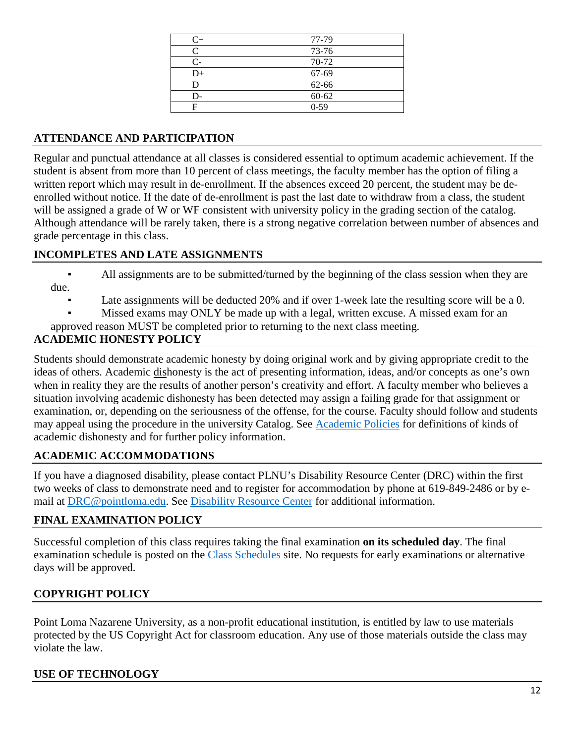| $C_{\pm}$ | 77-79    |
|-----------|----------|
| C         | 73-76    |
| C-        | 70-72    |
| $D+$      | 67-69    |
| D         | 62-66    |
| D-        | 60-62    |
|           | $0 - 59$ |

# **ATTENDANCE AND PARTICIPATION**

Regular and punctual attendance at all classes is considered essential to optimum academic achievement. If the student is absent from more than 10 percent of class meetings, the faculty member has the option of filing a written report which may result in de-enrollment. If the absences exceed 20 percent, the student may be deenrolled without notice. If the date of de-enrollment is past the last date to withdraw from a class, the student will be assigned a grade of W or WF consistent with university policy in the grading section of the catalog. Although attendance will be rarely taken, there is a strong negative correlation between number of absences and grade percentage in this class.

### **INCOMPLETES AND LATE ASSIGNMENTS**

- All assignments are to be submitted/turned by the beginning of the class session when they are due.
	- Late assignments will be deducted 20% and if over 1-week late the resulting score will be a 0.
	- Missed exams may ONLY be made up with a legal, written excuse. A missed exam for an
- approved reason MUST be completed prior to returning to the next class meeting.

# **ACADEMIC HONESTY POLICY**

Students should demonstrate academic honesty by doing original work and by giving appropriate credit to the ideas of others. Academic dishonesty is the act of presenting information, ideas, and/or concepts as one's own when in reality they are the results of another person's creativity and effort. A faculty member who believes a situation involving academic dishonesty has been detected may assign a failing grade for that assignment or examination, or, depending on the seriousness of the offense, for the course. Faculty should follow and students may appeal using the procedure in the university Catalog. See [Academic Policies](http://catalog.pointloma.edu/content.php?catoid=18&navoid=1278) for definitions of kinds of academic dishonesty and for further policy information.

# **ACADEMIC ACCOMMODATIONS**

If you have a diagnosed disability, please contact PLNU's Disability Resource Center (DRC) within the first two weeks of class to demonstrate need and to register for accommodation by phone at 619-849-2486 or by email at [DRC@pointloma.edu.](mailto:DRC@pointloma.edu) See [Disability Resource Center](http://www.pointloma.edu/experience/offices/administrative-offices/academic-advising-office/disability-resource-center) for additional information.

# **FINAL EXAMINATION POLICY**

Successful completion of this class requires taking the final examination **on its scheduled day**. The final examination schedule is posted on the [Class Schedules](http://www.pointloma.edu/experience/academics/class-schedules) site. No requests for early examinations or alternative days will be approved.

# **COPYRIGHT POLICY**

Point Loma Nazarene University, as a non-profit educational institution, is entitled by law to use materials protected by the US Copyright Act for classroom education. Any use of those materials outside the class may violate the law.

### **USE OF TECHNOLOGY**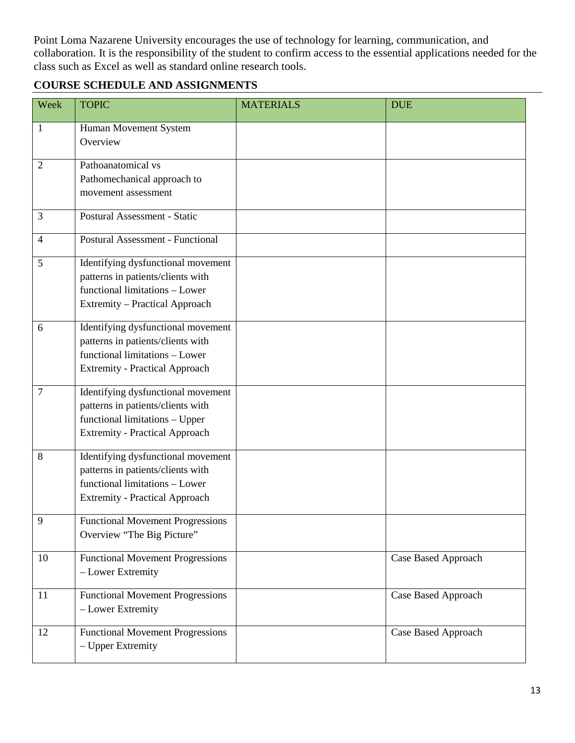Point Loma Nazarene University encourages the use of technology for learning, communication, and collaboration. It is the responsibility of the student to confirm access to the essential applications needed for the class such as Excel as well as standard online research tools.

# **COURSE SCHEDULE AND ASSIGNMENTS**

| Week           | <b>TOPIC</b>                                                                                                                                       | <b>MATERIALS</b> | <b>DUE</b>                 |
|----------------|----------------------------------------------------------------------------------------------------------------------------------------------------|------------------|----------------------------|
| $\mathbf{1}$   | Human Movement System<br>Overview                                                                                                                  |                  |                            |
| $\overline{2}$ | Pathoanatomical vs<br>Pathomechanical approach to<br>movement assessment                                                                           |                  |                            |
| 3              | <b>Postural Assessment - Static</b>                                                                                                                |                  |                            |
| $\overline{4}$ | <b>Postural Assessment - Functional</b>                                                                                                            |                  |                            |
| 5              | Identifying dysfunctional movement<br>patterns in patients/clients with<br>functional limitations - Lower<br><b>Extremity - Practical Approach</b> |                  |                            |
| 6              | Identifying dysfunctional movement<br>patterns in patients/clients with<br>functional limitations - Lower<br><b>Extremity - Practical Approach</b> |                  |                            |
| $\overline{7}$ | Identifying dysfunctional movement<br>patterns in patients/clients with<br>functional limitations - Upper<br><b>Extremity - Practical Approach</b> |                  |                            |
| 8              | Identifying dysfunctional movement<br>patterns in patients/clients with<br>functional limitations - Lower<br><b>Extremity - Practical Approach</b> |                  |                            |
| 9              | <b>Functional Movement Progressions</b><br>Overview "The Big Picture"                                                                              |                  |                            |
| 10             | <b>Functional Movement Progressions</b><br>- Lower Extremity                                                                                       |                  | <b>Case Based Approach</b> |
| 11             | <b>Functional Movement Progressions</b><br>- Lower Extremity                                                                                       |                  | <b>Case Based Approach</b> |
| 12             | <b>Functional Movement Progressions</b><br>- Upper Extremity                                                                                       |                  | Case Based Approach        |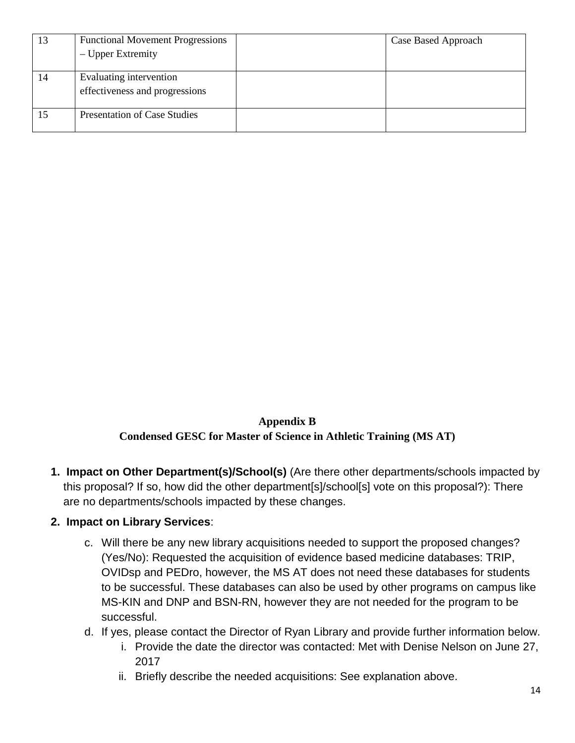| 13 | <b>Functional Movement Progressions</b><br>– Upper Extremity | Case Based Approach |
|----|--------------------------------------------------------------|---------------------|
|    |                                                              |                     |
| 14 | Evaluating intervention<br>effectiveness and progressions    |                     |
|    | <b>Presentation of Case Studies</b>                          |                     |

**Appendix B Condensed GESC for Master of Science in Athletic Training (MS AT)**

**1. Impact on Other Department(s)/School(s)** (Are there other departments/schools impacted by this proposal? If so, how did the other department[s]/school[s] vote on this proposal?): There are no departments/schools impacted by these changes.

# **2. Impact on Library Services**:

- c. Will there be any new library acquisitions needed to support the proposed changes? (Yes/No): Requested the acquisition of evidence based medicine databases: TRIP, OVIDsp and PEDro, however, the MS AT does not need these databases for students to be successful. These databases can also be used by other programs on campus like MS-KIN and DNP and BSN-RN, however they are not needed for the program to be successful.
- d. If yes, please contact the Director of Ryan Library and provide further information below.
	- i. Provide the date the director was contacted: Met with Denise Nelson on June 27, 2017
	- ii. Briefly describe the needed acquisitions: See explanation above.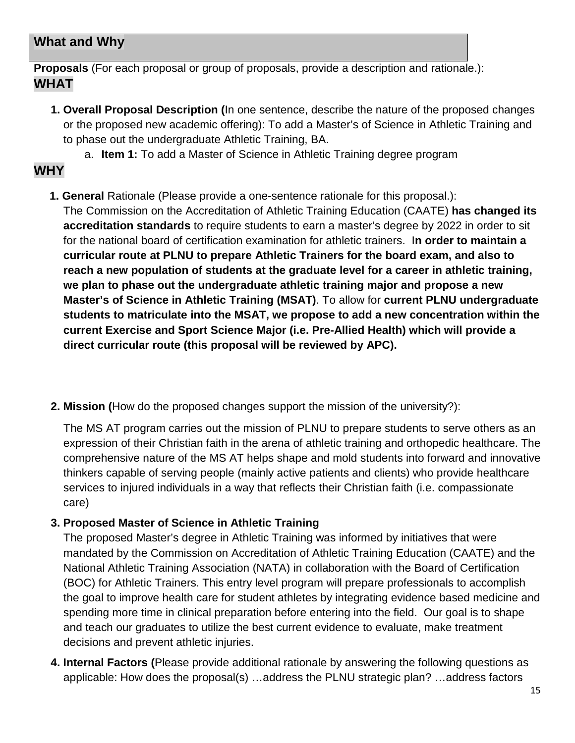# **What and Why**

**Proposals** (For each proposal or group of proposals, provide a description and rationale.): **WHAT** 

**1. Overall Proposal Description (**In one sentence, describe the nature of the proposed changes or the proposed new academic offering): To add a Master's of Science in Athletic Training and to phase out the undergraduate Athletic Training, BA.

a. **Item 1:** To add a Master of Science in Athletic Training degree program

# **WHY**

**1. General** Rationale (Please provide a one-sentence rationale for this proposal.):

The Commission on the Accreditation of Athletic Training Education (CAATE) **has changed its accreditation standards** to require students to earn a master's degree by 2022 in order to sit for the national board of certification examination for athletic trainers. I**n order to maintain a curricular route at PLNU to prepare Athletic Trainers for the board exam, and also to reach a new population of students at the graduate level for a career in athletic training, we plan to phase out the undergraduate athletic training major and propose a new Master's of Science in Athletic Training (MSAT)**. To allow for **current PLNU undergraduate students to matriculate into the MSAT, we propose to add a new concentration within the current Exercise and Sport Science Major (i.e. Pre-Allied Health) which will provide a direct curricular route (this proposal will be reviewed by APC).**

**2. Mission (**How do the proposed changes support the mission of the university?):

The MS AT program carries out the mission of PLNU to prepare students to serve others as an expression of their Christian faith in the arena of athletic training and orthopedic healthcare. The comprehensive nature of the MS AT helps shape and mold students into forward and innovative thinkers capable of serving people (mainly active patients and clients) who provide healthcare services to injured individuals in a way that reflects their Christian faith (i.e. compassionate care)

# **3. Proposed Master of Science in Athletic Training**

The proposed Master's degree in Athletic Training was informed by initiatives that were mandated by the Commission on Accreditation of Athletic Training Education (CAATE) and the National Athletic Training Association (NATA) in collaboration with the Board of Certification (BOC) for Athletic Trainers. This entry level program will prepare professionals to accomplish the goal to improve health care for student athletes by integrating evidence based medicine and spending more time in clinical preparation before entering into the field. Our goal is to shape and teach our graduates to utilize the best current evidence to evaluate, make treatment decisions and prevent athletic injuries.

**4. Internal Factors (**Please provide additional rationale by answering the following questions as applicable: How does the proposal(s) …address the PLNU strategic plan? …address factors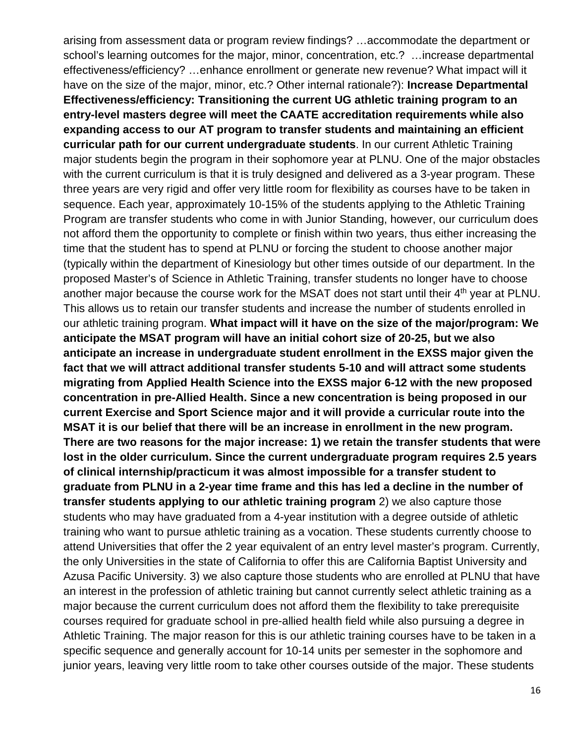arising from assessment data or program review findings? …accommodate the department or school's learning outcomes for the major, minor, concentration, etc.? …increase departmental effectiveness/efficiency? …enhance enrollment or generate new revenue? What impact will it have on the size of the major, minor, etc.? Other internal rationale?): **Increase Departmental Effectiveness/efficiency: Transitioning the current UG athletic training program to an entry-level masters degree will meet the CAATE accreditation requirements while also expanding access to our AT program to transfer students and maintaining an efficient curricular path for our current undergraduate students**. In our current Athletic Training major students begin the program in their sophomore year at PLNU. One of the major obstacles with the current curriculum is that it is truly designed and delivered as a 3-year program. These three years are very rigid and offer very little room for flexibility as courses have to be taken in sequence. Each year, approximately 10-15% of the students applying to the Athletic Training Program are transfer students who come in with Junior Standing, however, our curriculum does not afford them the opportunity to complete or finish within two years, thus either increasing the time that the student has to spend at PLNU or forcing the student to choose another major (typically within the department of Kinesiology but other times outside of our department. In the proposed Master's of Science in Athletic Training, transfer students no longer have to choose another major because the course work for the MSAT does not start until their 4<sup>th</sup> year at PLNU. This allows us to retain our transfer students and increase the number of students enrolled in our athletic training program. **What impact will it have on the size of the major/program: We anticipate the MSAT program will have an initial cohort size of 20-25, but we also anticipate an increase in undergraduate student enrollment in the EXSS major given the fact that we will attract additional transfer students 5-10 and will attract some students migrating from Applied Health Science into the EXSS major 6-12 with the new proposed concentration in pre-Allied Health. Since a new concentration is being proposed in our current Exercise and Sport Science major and it will provide a curricular route into the MSAT it is our belief that there will be an increase in enrollment in the new program. There are two reasons for the major increase: 1) we retain the transfer students that were lost in the older curriculum. Since the current undergraduate program requires 2.5 years of clinical internship/practicum it was almost impossible for a transfer student to graduate from PLNU in a 2-year time frame and this has led a decline in the number of transfer students applying to our athletic training program** 2) we also capture those students who may have graduated from a 4-year institution with a degree outside of athletic training who want to pursue athletic training as a vocation. These students currently choose to attend Universities that offer the 2 year equivalent of an entry level master's program. Currently, the only Universities in the state of California to offer this are California Baptist University and Azusa Pacific University. 3) we also capture those students who are enrolled at PLNU that have an interest in the profession of athletic training but cannot currently select athletic training as a major because the current curriculum does not afford them the flexibility to take prerequisite courses required for graduate school in pre-allied health field while also pursuing a degree in Athletic Training. The major reason for this is our athletic training courses have to be taken in a specific sequence and generally account for 10-14 units per semester in the sophomore and junior years, leaving very little room to take other courses outside of the major. These students